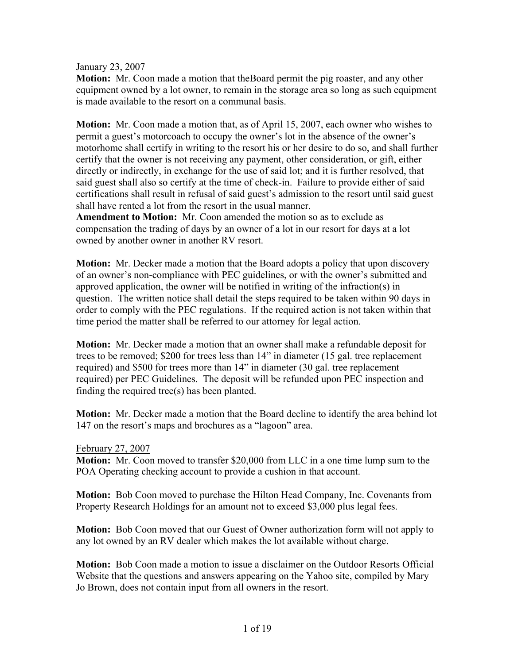January 23, 2007

**Motion:** Mr. Coon made a motion that theBoard permit the pig roaster, and any other equipment owned by a lot owner, to remain in the storage area so long as such equipment is made available to the resort on a communal basis.

**Motion:** Mr. Coon made a motion that, as of April 15, 2007, each owner who wishes to permit a guest's motorcoach to occupy the owner's lot in the absence of the owner's motorhome shall certify in writing to the resort his or her desire to do so, and shall further certify that the owner is not receiving any payment, other consideration, or gift, either directly or indirectly, in exchange for the use of said lot; and it is further resolved, that said guest shall also so certify at the time of check-in. Failure to provide either of said certifications shall result in refusal of said guest's admission to the resort until said guest shall have rented a lot from the resort in the usual manner.

**Amendment to Motion:** Mr. Coon amended the motion so as to exclude as compensation the trading of days by an owner of a lot in our resort for days at a lot owned by another owner in another RV resort.

**Motion:** Mr. Decker made a motion that the Board adopts a policy that upon discovery of an owner's non-compliance with PEC guidelines, or with the owner's submitted and approved application, the owner will be notified in writing of the infraction(s) in question. The written notice shall detail the steps required to be taken within 90 days in order to comply with the PEC regulations. If the required action is not taken within that time period the matter shall be referred to our attorney for legal action.

**Motion:** Mr. Decker made a motion that an owner shall make a refundable deposit for trees to be removed; \$200 for trees less than 14" in diameter (15 gal. tree replacement required) and \$500 for trees more than 14" in diameter (30 gal. tree replacement required) per PEC Guidelines. The deposit will be refunded upon PEC inspection and finding the required tree(s) has been planted.

**Motion:** Mr. Decker made a motion that the Board decline to identify the area behind lot 147 on the resort's maps and brochures as a "lagoon" area.

February 27, 2007

**Motion:** Mr. Coon moved to transfer \$20,000 from LLC in a one time lump sum to the POA Operating checking account to provide a cushion in that account.

**Motion:** Bob Coon moved to purchase the Hilton Head Company, Inc. Covenants from Property Research Holdings for an amount not to exceed \$3,000 plus legal fees.

**Motion:** Bob Coon moved that our Guest of Owner authorization form will not apply to any lot owned by an RV dealer which makes the lot available without charge.

**Motion:** Bob Coon made a motion to issue a disclaimer on the Outdoor Resorts Official Website that the questions and answers appearing on the Yahoo site, compiled by Mary Jo Brown, does not contain input from all owners in the resort.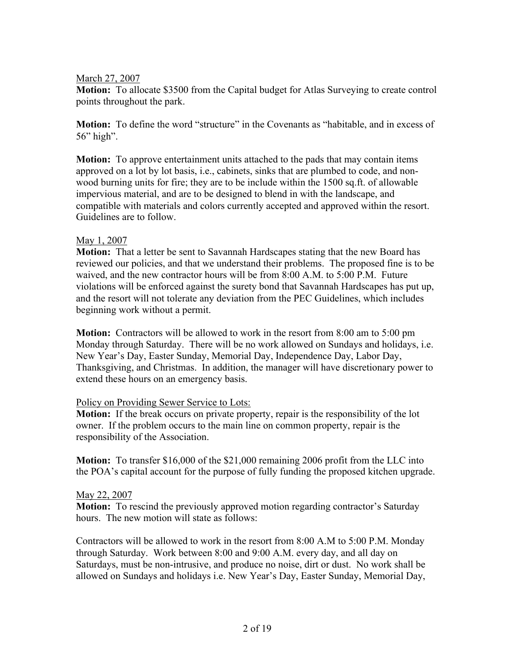#### March 27, 2007

**Motion:** To allocate \$3500 from the Capital budget for Atlas Surveying to create control points throughout the park.

**Motion:** To define the word "structure" in the Covenants as "habitable, and in excess of 56" high".

**Motion:** To approve entertainment units attached to the pads that may contain items approved on a lot by lot basis, i.e., cabinets, sinks that are plumbed to code, and nonwood burning units for fire; they are to be include within the 1500 sq.ft. of allowable impervious material, and are to be designed to blend in with the landscape, and compatible with materials and colors currently accepted and approved within the resort. Guidelines are to follow.

#### May 1, 2007

**Motion:** That a letter be sent to Savannah Hardscapes stating that the new Board has reviewed our policies, and that we understand their problems. The proposed fine is to be waived, and the new contractor hours will be from 8:00 A.M. to 5:00 P.M. Future violations will be enforced against the surety bond that Savannah Hardscapes has put up, and the resort will not tolerate any deviation from the PEC Guidelines, which includes beginning work without a permit.

**Motion:** Contractors will be allowed to work in the resort from 8:00 am to 5:00 pm Monday through Saturday. There will be no work allowed on Sundays and holidays, i.e. New Year's Day, Easter Sunday, Memorial Day, Independence Day, Labor Day, Thanksgiving, and Christmas. In addition, the manager will have discretionary power to extend these hours on an emergency basis.

#### Policy on Providing Sewer Service to Lots:

**Motion:** If the break occurs on private property, repair is the responsibility of the lot owner. If the problem occurs to the main line on common property, repair is the responsibility of the Association.

**Motion:** To transfer \$16,000 of the \$21,000 remaining 2006 profit from the LLC into the POA's capital account for the purpose of fully funding the proposed kitchen upgrade.

#### May 22, 2007

**Motion:** To rescind the previously approved motion regarding contractor's Saturday hours. The new motion will state as follows:

Contractors will be allowed to work in the resort from 8:00 A.M to 5:00 P.M. Monday through Saturday. Work between 8:00 and 9:00 A.M. every day, and all day on Saturdays, must be non-intrusive, and produce no noise, dirt or dust. No work shall be allowed on Sundays and holidays i.e. New Year's Day, Easter Sunday, Memorial Day,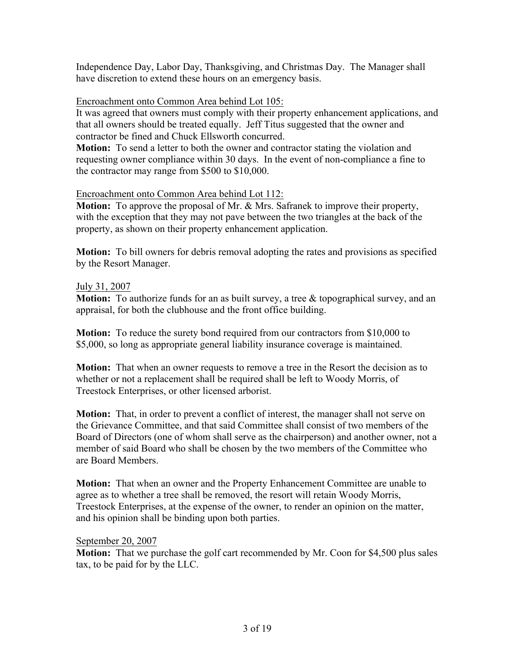Independence Day, Labor Day, Thanksgiving, and Christmas Day. The Manager shall have discretion to extend these hours on an emergency basis.

## Encroachment onto Common Area behind Lot 105:

It was agreed that owners must comply with their property enhancement applications, and that all owners should be treated equally. Jeff Titus suggested that the owner and contractor be fined and Chuck Ellsworth concurred.

**Motion:** To send a letter to both the owner and contractor stating the violation and requesting owner compliance within 30 days. In the event of non-compliance a fine to the contractor may range from \$500 to \$10,000.

## Encroachment onto Common Area behind Lot 112:

**Motion:** To approve the proposal of Mr. & Mrs. Safranek to improve their property, with the exception that they may not pave between the two triangles at the back of the property, as shown on their property enhancement application.

**Motion:** To bill owners for debris removal adopting the rates and provisions as specified by the Resort Manager.

## July 31, 2007

**Motion:** To authorize funds for an as built survey, a tree & topographical survey, and an appraisal, for both the clubhouse and the front office building.

**Motion:** To reduce the surety bond required from our contractors from \$10,000 to \$5,000, so long as appropriate general liability insurance coverage is maintained.

**Motion:** That when an owner requests to remove a tree in the Resort the decision as to whether or not a replacement shall be required shall be left to Woody Morris, of Treestock Enterprises, or other licensed arborist.

**Motion:** That, in order to prevent a conflict of interest, the manager shall not serve on the Grievance Committee, and that said Committee shall consist of two members of the Board of Directors (one of whom shall serve as the chairperson) and another owner, not a member of said Board who shall be chosen by the two members of the Committee who are Board Members.

**Motion:** That when an owner and the Property Enhancement Committee are unable to agree as to whether a tree shall be removed, the resort will retain Woody Morris, Treestock Enterprises, at the expense of the owner, to render an opinion on the matter, and his opinion shall be binding upon both parties.

## September 20, 2007

**Motion:** That we purchase the golf cart recommended by Mr. Coon for \$4,500 plus sales tax, to be paid for by the LLC.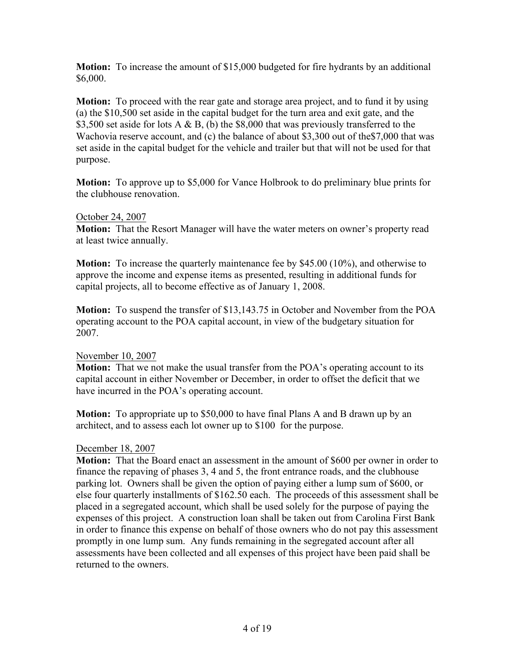**Motion:** To increase the amount of \$15,000 budgeted for fire hydrants by an additional \$6,000.

**Motion:** To proceed with the rear gate and storage area project, and to fund it by using (a) the \$10,500 set aside in the capital budget for the turn area and exit gate, and the \$3,500 set aside for lots A  $\&$  B, (b) the \$8,000 that was previously transferred to the Wachovia reserve account, and (c) the balance of about \$3,300 out of the\$7,000 that was set aside in the capital budget for the vehicle and trailer but that will not be used for that purpose.

**Motion:** To approve up to \$5,000 for Vance Holbrook to do preliminary blue prints for the clubhouse renovation.

#### October 24, 2007

**Motion:** That the Resort Manager will have the water meters on owner's property read at least twice annually.

**Motion:** To increase the quarterly maintenance fee by \$45.00 (10%), and otherwise to approve the income and expense items as presented, resulting in additional funds for capital projects, all to become effective as of January 1, 2008.

**Motion:** To suspend the transfer of \$13,143.75 in October and November from the POA operating account to the POA capital account, in view of the budgetary situation for 2007.

## November 10, 2007

**Motion:** That we not make the usual transfer from the POA's operating account to its capital account in either November or December, in order to offset the deficit that we have incurred in the POA's operating account.

**Motion:** To appropriate up to \$50,000 to have final Plans A and B drawn up by an architect, and to assess each lot owner up to \$100 for the purpose.

## December 18, 2007

**Motion:** That the Board enact an assessment in the amount of \$600 per owner in order to finance the repaving of phases 3, 4 and 5, the front entrance roads, and the clubhouse parking lot. Owners shall be given the option of paying either a lump sum of \$600, or else four quarterly installments of \$162.50 each. The proceeds of this assessment shall be placed in a segregated account, which shall be used solely for the purpose of paying the expenses of this project. A construction loan shall be taken out from Carolina First Bank in order to finance this expense on behalf of those owners who do not pay this assessment promptly in one lump sum. Any funds remaining in the segregated account after all assessments have been collected and all expenses of this project have been paid shall be returned to the owners.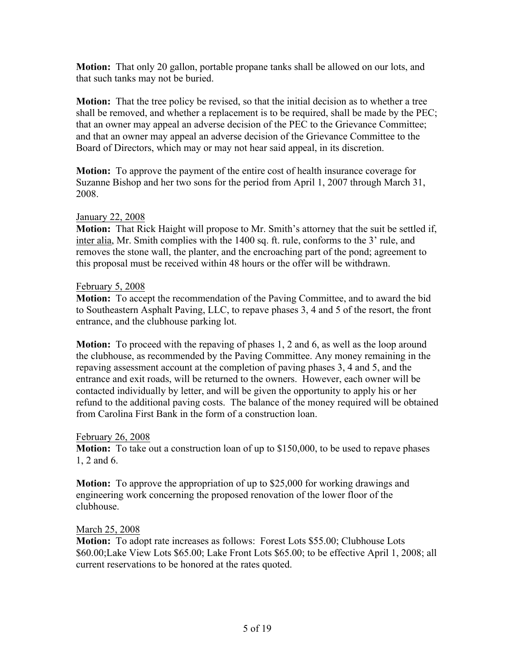**Motion:** That only 20 gallon, portable propane tanks shall be allowed on our lots, and that such tanks may not be buried.

**Motion:** That the tree policy be revised, so that the initial decision as to whether a tree shall be removed, and whether a replacement is to be required, shall be made by the PEC; that an owner may appeal an adverse decision of the PEC to the Grievance Committee; and that an owner may appeal an adverse decision of the Grievance Committee to the Board of Directors, which may or may not hear said appeal, in its discretion.

**Motion:** To approve the payment of the entire cost of health insurance coverage for Suzanne Bishop and her two sons for the period from April 1, 2007 through March 31, 2008.

## January 22, 2008

**Motion:** That Rick Haight will propose to Mr. Smith's attorney that the suit be settled if, inter alia, Mr. Smith complies with the 1400 sq. ft. rule, conforms to the 3' rule, and removes the stone wall, the planter, and the encroaching part of the pond; agreement to this proposal must be received within 48 hours or the offer will be withdrawn.

#### February 5, 2008

**Motion:** To accept the recommendation of the Paving Committee, and to award the bid to Southeastern Asphalt Paving, LLC, to repave phases 3, 4 and 5 of the resort, the front entrance, and the clubhouse parking lot.

**Motion:** To proceed with the repaving of phases 1, 2 and 6, as well as the loop around the clubhouse, as recommended by the Paving Committee. Any money remaining in the repaving assessment account at the completion of paving phases 3, 4 and 5, and the entrance and exit roads, will be returned to the owners. However, each owner will be contacted individually by letter, and will be given the opportunity to apply his or her refund to the additional paving costs. The balance of the money required will be obtained from Carolina First Bank in the form of a construction loan.

#### February 26, 2008

**Motion:** To take out a construction loan of up to \$150,000, to be used to repave phases 1, 2 and 6.

**Motion:** To approve the appropriation of up to \$25,000 for working drawings and engineering work concerning the proposed renovation of the lower floor of the clubhouse.

#### March 25, 2008

**Motion:** To adopt rate increases as follows: Forest Lots \$55.00; Clubhouse Lots \$60.00;Lake View Lots \$65.00; Lake Front Lots \$65.00; to be effective April 1, 2008; all current reservations to be honored at the rates quoted.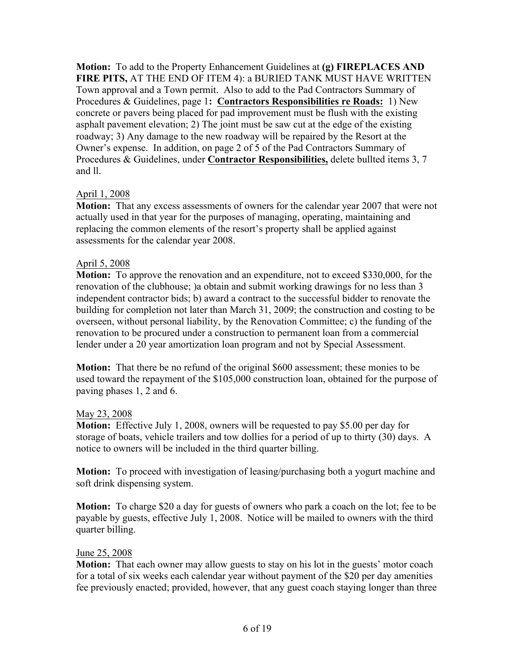**Motion:** To add to the Property Enhancement Guidelines at **(g) FIREPLACES AND FIRE PITS,** AT THE END OF ITEM 4): a BURIED TANK MUST HAVE WRITTEN Town approval and a Town permit. Also to add to the Pad Contractors Summary of Procedures & Guidelines, page 1**: Contractors Responsibilities re Roads:** 1) New concrete or pavers being placed for pad improvement must be flush with the existing asphalt pavement elevation; 2) The joint must be saw cut at the edge of the existing roadway; 3) Any damage to the new roadway will be repaired by the Resort at the Owner's expense. In addition, on page 2 of 5 of the Pad Contractors Summary of Procedures & Guidelines, under **Contractor Responsibilities,** delete bullted items 3, 7 and ll.

## April 1, 2008

**Motion:** That any excess assessments of owners for the calendar year 2007 that were not actually used in that year for the purposes of managing, operating, maintaining and replacing the common elements of the resort's property shall be applied against assessments for the calendar year 2008.

## April 5, 2008

**Motion:** To approve the renovation and an expenditure, not to exceed \$330,000, for the renovation of the clubhouse; )a obtain and submit working drawings for no less than 3 independent contractor bids; b) award a contract to the successful bidder to renovate the building for completion not later than March 31, 2009; the construction and costing to be overseen, without personal liability, by the Renovation Committee; c) the funding of the renovation to be procured under a construction to permanent loan from a commercial lender under a 20 year amortization loan program and not by Special Assessment.

**Motion:** That there be no refund of the original \$600 assessment; these monies to be used toward the repayment of the \$105,000 construction loan, obtained for the purpose of paving phases 1, 2 and 6.

## May 23, 2008

**Motion:** Effective July 1, 2008, owners will be requested to pay \$5.00 per day for storage of boats, vehicle trailers and tow dollies for a period of up to thirty (30) days. A notice to owners will be included in the third quarter billing.

**Motion:** To proceed with investigation of leasing/purchasing both a yogurt machine and soft drink dispensing system.

**Motion:** To charge \$20 a day for guests of owners who park a coach on the lot; fee to be payable by guests, effective July 1, 2008. Notice will be mailed to owners with the third quarter billing.

## June 25, 2008

**Motion:** That each owner may allow guests to stay on his lot in the guests' motor coach for a total of six weeks each calendar year without payment of the \$20 per day amenities fee previously enacted; provided, however, that any guest coach staying longer than three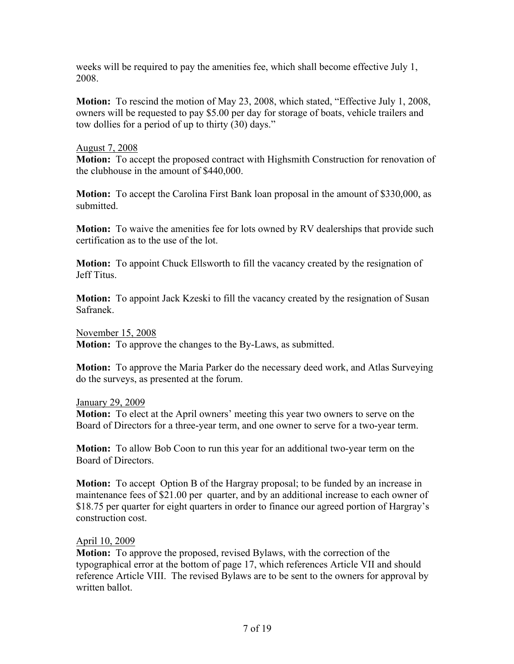weeks will be required to pay the amenities fee, which shall become effective July 1, 2008.

**Motion:** To rescind the motion of May 23, 2008, which stated, "Effective July 1, 2008, owners will be requested to pay \$5.00 per day for storage of boats, vehicle trailers and tow dollies for a period of up to thirty (30) days."

#### August 7, 2008

**Motion:** To accept the proposed contract with Highsmith Construction for renovation of the clubhouse in the amount of \$440,000.

**Motion:** To accept the Carolina First Bank loan proposal in the amount of \$330,000, as submitted.

**Motion:** To waive the amenities fee for lots owned by RV dealerships that provide such certification as to the use of the lot.

**Motion:** To appoint Chuck Ellsworth to fill the vacancy created by the resignation of Jeff Titus.

**Motion:** To appoint Jack Kzeski to fill the vacancy created by the resignation of Susan Safranek.

November 15, 2008

**Motion:** To approve the changes to the By-Laws, as submitted.

**Motion:** To approve the Maria Parker do the necessary deed work, and Atlas Surveying do the surveys, as presented at the forum.

January 29, 2009

**Motion:** To elect at the April owners' meeting this year two owners to serve on the Board of Directors for a three-year term, and one owner to serve for a two-year term.

**Motion:** To allow Bob Coon to run this year for an additional two-year term on the Board of Directors.

**Motion:** To accept Option B of the Hargray proposal; to be funded by an increase in maintenance fees of \$21.00 per quarter, and by an additional increase to each owner of \$18.75 per quarter for eight quarters in order to finance our agreed portion of Hargray's construction cost.

## April 10, 2009

**Motion:** To approve the proposed, revised Bylaws, with the correction of the typographical error at the bottom of page 17, which references Article VII and should reference Article VIII. The revised Bylaws are to be sent to the owners for approval by written ballot.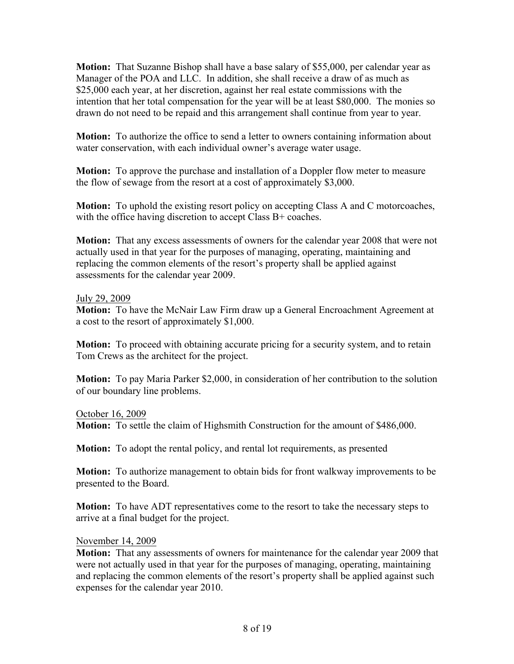**Motion:** That Suzanne Bishop shall have a base salary of \$55,000, per calendar year as Manager of the POA and LLC. In addition, she shall receive a draw of as much as \$25,000 each year, at her discretion, against her real estate commissions with the intention that her total compensation for the year will be at least \$80,000. The monies so drawn do not need to be repaid and this arrangement shall continue from year to year.

**Motion:** To authorize the office to send a letter to owners containing information about water conservation, with each individual owner's average water usage.

**Motion:** To approve the purchase and installation of a Doppler flow meter to measure the flow of sewage from the resort at a cost of approximately \$3,000.

**Motion:** To uphold the existing resort policy on accepting Class A and C motorcoaches, with the office having discretion to accept Class B+ coaches.

**Motion:** That any excess assessments of owners for the calendar year 2008 that were not actually used in that year for the purposes of managing, operating, maintaining and replacing the common elements of the resort's property shall be applied against assessments for the calendar year 2009.

#### July 29, 2009

**Motion:** To have the McNair Law Firm draw up a General Encroachment Agreement at a cost to the resort of approximately \$1,000.

**Motion:** To proceed with obtaining accurate pricing for a security system, and to retain Tom Crews as the architect for the project.

**Motion:** To pay Maria Parker \$2,000, in consideration of her contribution to the solution of our boundary line problems.

October 16, 2009 **Motion:** To settle the claim of Highsmith Construction for the amount of \$486,000.

**Motion:** To adopt the rental policy, and rental lot requirements, as presented

**Motion:** To authorize management to obtain bids for front walkway improvements to be presented to the Board.

**Motion:** To have ADT representatives come to the resort to take the necessary steps to arrive at a final budget for the project.

#### November 14, 2009

**Motion:** That any assessments of owners for maintenance for the calendar year 2009 that were not actually used in that year for the purposes of managing, operating, maintaining and replacing the common elements of the resort's property shall be applied against such expenses for the calendar year 2010.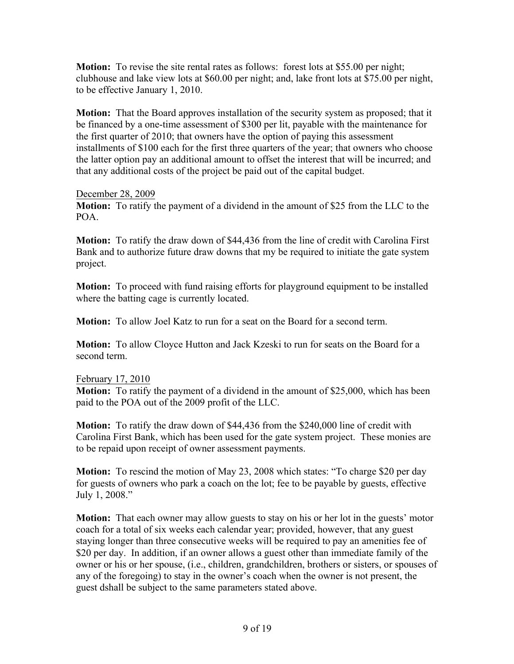**Motion:** To revise the site rental rates as follows: forest lots at \$55.00 per night; clubhouse and lake view lots at \$60.00 per night; and, lake front lots at \$75.00 per night, to be effective January 1, 2010.

**Motion:** That the Board approves installation of the security system as proposed; that it be financed by a one-time assessment of \$300 per lit, payable with the maintenance for the first quarter of 2010; that owners have the option of paying this assessment installments of \$100 each for the first three quarters of the year; that owners who choose the latter option pay an additional amount to offset the interest that will be incurred; and that any additional costs of the project be paid out of the capital budget.

#### December 28, 2009

**Motion:** To ratify the payment of a dividend in the amount of \$25 from the LLC to the POA.

**Motion:** To ratify the draw down of \$44,436 from the line of credit with Carolina First Bank and to authorize future draw downs that my be required to initiate the gate system project.

**Motion:** To proceed with fund raising efforts for playground equipment to be installed where the batting cage is currently located.

**Motion:** To allow Joel Katz to run for a seat on the Board for a second term.

**Motion:** To allow Cloyce Hutton and Jack Kzeski to run for seats on the Board for a second term.

## February 17, 2010

**Motion:** To ratify the payment of a dividend in the amount of \$25,000, which has been paid to the POA out of the 2009 profit of the LLC.

**Motion:** To ratify the draw down of \$44,436 from the \$240,000 line of credit with Carolina First Bank, which has been used for the gate system project. These monies are to be repaid upon receipt of owner assessment payments.

**Motion:** To rescind the motion of May 23, 2008 which states: "To charge \$20 per day for guests of owners who park a coach on the lot; fee to be payable by guests, effective July 1, 2008."

**Motion:** That each owner may allow guests to stay on his or her lot in the guests' motor coach for a total of six weeks each calendar year; provided, however, that any guest staying longer than three consecutive weeks will be required to pay an amenities fee of \$20 per day. In addition, if an owner allows a guest other than immediate family of the owner or his or her spouse, (i.e., children, grandchildren, brothers or sisters, or spouses of any of the foregoing) to stay in the owner's coach when the owner is not present, the guest dshall be subject to the same parameters stated above.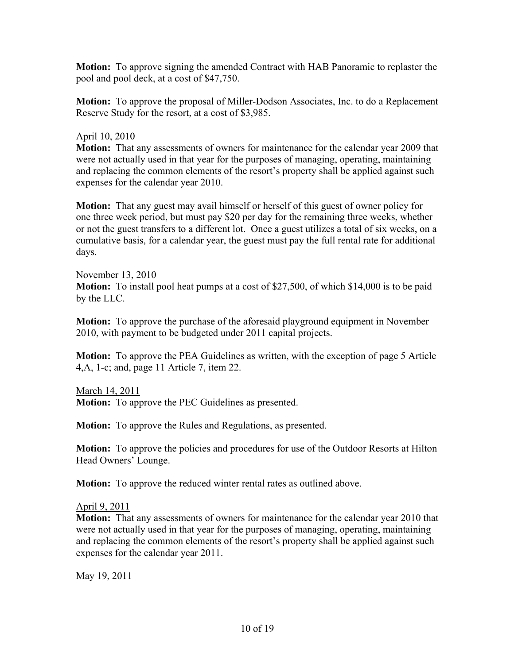**Motion:** To approve signing the amended Contract with HAB Panoramic to replaster the pool and pool deck, at a cost of \$47,750.

**Motion:** To approve the proposal of Miller-Dodson Associates, Inc. to do a Replacement Reserve Study for the resort, at a cost of \$3,985.

#### April 10, 2010

**Motion:** That any assessments of owners for maintenance for the calendar year 2009 that were not actually used in that year for the purposes of managing, operating, maintaining and replacing the common elements of the resort's property shall be applied against such expenses for the calendar year 2010.

**Motion:** That any guest may avail himself or herself of this guest of owner policy for one three week period, but must pay \$20 per day for the remaining three weeks, whether or not the guest transfers to a different lot. Once a guest utilizes a total of six weeks, on a cumulative basis, for a calendar year, the guest must pay the full rental rate for additional days.

#### November 13, 2010

**Motion:** To install pool heat pumps at a cost of \$27,500, of which \$14,000 is to be paid by the LLC.

**Motion:** To approve the purchase of the aforesaid playground equipment in November 2010, with payment to be budgeted under 2011 capital projects.

**Motion:** To approve the PEA Guidelines as written, with the exception of page 5 Article 4,A, 1-c; and, page 11 Article 7, item 22.

March 14, 2011

**Motion:** To approve the PEC Guidelines as presented.

**Motion:** To approve the Rules and Regulations, as presented.

**Motion:** To approve the policies and procedures for use of the Outdoor Resorts at Hilton Head Owners' Lounge.

**Motion:** To approve the reduced winter rental rates as outlined above.

April 9, 2011

**Motion:** That any assessments of owners for maintenance for the calendar year 2010 that were not actually used in that year for the purposes of managing, operating, maintaining and replacing the common elements of the resort's property shall be applied against such expenses for the calendar year 2011.

May 19, 2011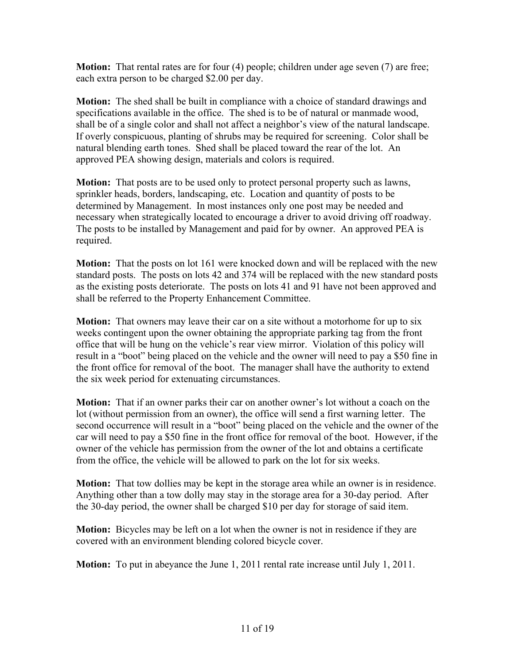**Motion:** That rental rates are for four (4) people; children under age seven (7) are free; each extra person to be charged \$2.00 per day.

**Motion:** The shed shall be built in compliance with a choice of standard drawings and specifications available in the office. The shed is to be of natural or manmade wood, shall be of a single color and shall not affect a neighbor's view of the natural landscape. If overly conspicuous, planting of shrubs may be required for screening. Color shall be natural blending earth tones. Shed shall be placed toward the rear of the lot. An approved PEA showing design, materials and colors is required.

**Motion:** That posts are to be used only to protect personal property such as lawns, sprinkler heads, borders, landscaping, etc. Location and quantity of posts to be determined by Management. In most instances only one post may be needed and necessary when strategically located to encourage a driver to avoid driving off roadway. The posts to be installed by Management and paid for by owner. An approved PEA is required.

**Motion:** That the posts on lot 161 were knocked down and will be replaced with the new standard posts. The posts on lots 42 and 374 will be replaced with the new standard posts as the existing posts deteriorate. The posts on lots 41 and 91 have not been approved and shall be referred to the Property Enhancement Committee.

**Motion:** That owners may leave their car on a site without a motorhome for up to six weeks contingent upon the owner obtaining the appropriate parking tag from the front office that will be hung on the vehicle's rear view mirror. Violation of this policy will result in a "boot" being placed on the vehicle and the owner will need to pay a \$50 fine in the front office for removal of the boot. The manager shall have the authority to extend the six week period for extenuating circumstances.

**Motion:** That if an owner parks their car on another owner's lot without a coach on the lot (without permission from an owner), the office will send a first warning letter. The second occurrence will result in a "boot" being placed on the vehicle and the owner of the car will need to pay a \$50 fine in the front office for removal of the boot. However, if the owner of the vehicle has permission from the owner of the lot and obtains a certificate from the office, the vehicle will be allowed to park on the lot for six weeks.

**Motion:** That tow dollies may be kept in the storage area while an owner is in residence. Anything other than a tow dolly may stay in the storage area for a 30-day period. After the 30-day period, the owner shall be charged \$10 per day for storage of said item.

**Motion:** Bicycles may be left on a lot when the owner is not in residence if they are covered with an environment blending colored bicycle cover.

**Motion:** To put in abeyance the June 1, 2011 rental rate increase until July 1, 2011.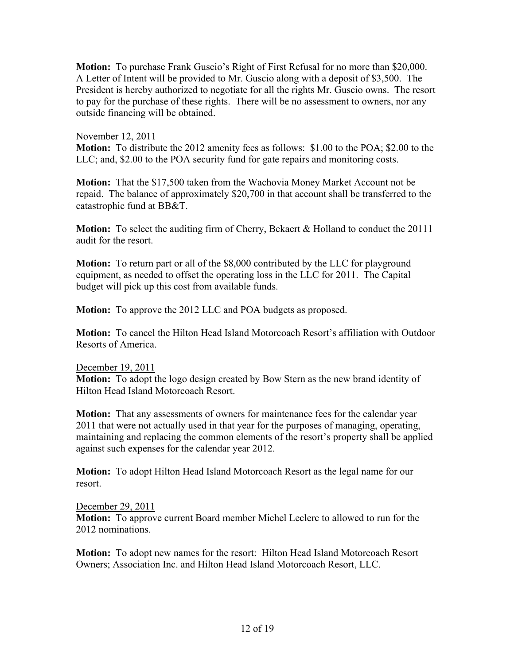**Motion:** To purchase Frank Guscio's Right of First Refusal for no more than \$20,000. A Letter of Intent will be provided to Mr. Guscio along with a deposit of \$3,500. The President is hereby authorized to negotiate for all the rights Mr. Guscio owns. The resort to pay for the purchase of these rights. There will be no assessment to owners, nor any outside financing will be obtained.

#### November 12, 2011

**Motion:** To distribute the 2012 amenity fees as follows: \$1.00 to the POA; \$2.00 to the LLC; and, \$2.00 to the POA security fund for gate repairs and monitoring costs.

**Motion:** That the \$17,500 taken from the Wachovia Money Market Account not be repaid. The balance of approximately \$20,700 in that account shall be transferred to the catastrophic fund at BB&T.

**Motion:** To select the auditing firm of Cherry, Bekaert & Holland to conduct the 20111 audit for the resort.

**Motion:** To return part or all of the \$8,000 contributed by the LLC for playground equipment, as needed to offset the operating loss in the LLC for 2011. The Capital budget will pick up this cost from available funds.

**Motion:** To approve the 2012 LLC and POA budgets as proposed.

**Motion:** To cancel the Hilton Head Island Motorcoach Resort's affiliation with Outdoor Resorts of America.

#### December 19, 2011

**Motion:** To adopt the logo design created by Bow Stern as the new brand identity of Hilton Head Island Motorcoach Resort.

**Motion:** That any assessments of owners for maintenance fees for the calendar year 2011 that were not actually used in that year for the purposes of managing, operating, maintaining and replacing the common elements of the resort's property shall be applied against such expenses for the calendar year 2012.

**Motion:** To adopt Hilton Head Island Motorcoach Resort as the legal name for our resort.

#### December 29, 2011

**Motion:** To approve current Board member Michel Leclerc to allowed to run for the 2012 nominations.

**Motion:** To adopt new names for the resort: Hilton Head Island Motorcoach Resort Owners; Association Inc. and Hilton Head Island Motorcoach Resort, LLC.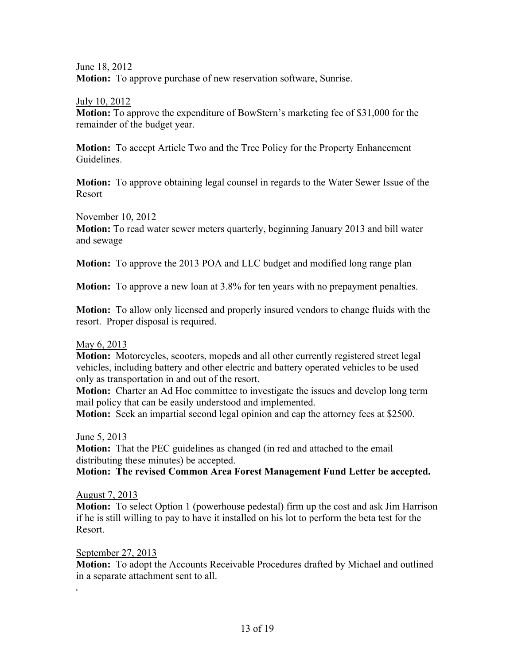June 18, 2012

**Motion:** To approve purchase of new reservation software, Sunrise.

July 10, 2012

**Motion:** To approve the expenditure of BowStern's marketing fee of \$31,000 for the remainder of the budget year.

**Motion:** To accept Article Two and the Tree Policy for the Property Enhancement Guidelines.

**Motion:** To approve obtaining legal counsel in regards to the Water Sewer Issue of the Resort

November 10, 2012

**Motion:** To read water sewer meters quarterly, beginning January 2013 and bill water and sewage

**Motion:** To approve the 2013 POA and LLC budget and modified long range plan

**Motion:** To approve a new loan at 3.8% for ten years with no prepayment penalties.

**Motion:** To allow only licensed and properly insured vendors to change fluids with the resort. Proper disposal is required.

#### May 6, 2013

**Motion:** Motorcycles, scooters, mopeds and all other currently registered street legal vehicles, including battery and other electric and battery operated vehicles to be used only as transportation in and out of the resort.

**Motion:** Charter an Ad Hoc committee to investigate the issues and develop long term mail policy that can be easily understood and implemented.

**Motion:** Seek an impartial second legal opinion and cap the attorney fees at \$2500.

June 5, 2013

**Motion:** That the PEC guidelines as changed (in red and attached to the email distributing these minutes) be accepted.

**Motion: The revised Common Area Forest Management Fund Letter be accepted.**

#### August 7, 2013

**Motion:** To select Option 1 (powerhouse pedestal) firm up the cost and ask Jim Harrison if he is still willing to pay to have it installed on his lot to perform the beta test for the Resort.

September 27, 2013

. 

**Motion:** To adopt the Accounts Receivable Procedures drafted by Michael and outlined in a separate attachment sent to all.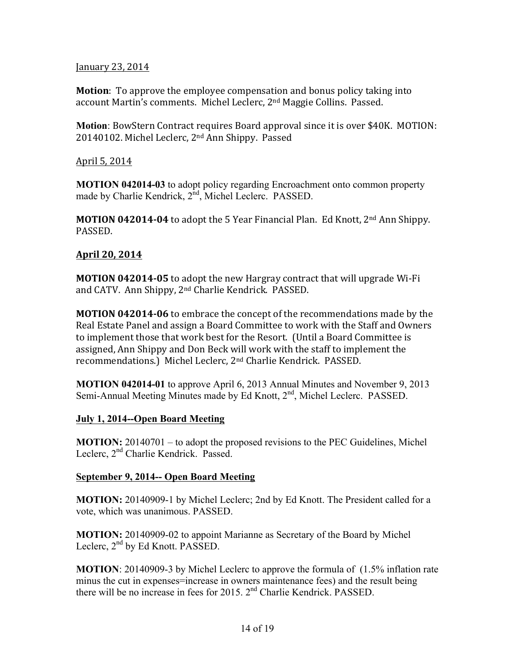#### January 23, 2014

**Motion**: To approve the employee compensation and bonus policy taking into account Martin's comments. Michel Leclerc, 2<sup>nd</sup> Maggie Collins. Passed.

**Motion**: BowStern Contract requires Board approval since it is over \$40K. MOTION: 20140102. Michel Leclerc, 2<sup>nd</sup> Ann Shippy. Passed

April 5, 2014

**MOTION 042014-03** to adopt policy regarding Encroachment onto common property made by Charlie Kendrick, 2<sup>nd</sup>, Michel Leclerc. PASSED.

**MOTION 042014-04** to adopt the 5 Year Financial Plan. Ed Knott, 2<sup>nd</sup> Ann Shippy. PASSED.

## **April 20, 2014**

**MOTION 042014-05** to adopt the new Hargray contract that will upgrade Wi-Fi and CATV. Ann Shippy, 2<sup>nd</sup> Charlie Kendrick. PASSED.

**MOTION 042014-06** to embrace the concept of the recommendations made by the Real Estate Panel and assign a Board Committee to work with the Staff and Owners to implement those that work best for the Resort. (Until a Board Committee is assigned, Ann Shippy and Don Beck will work with the staff to implement the recommendations.) Michel Leclerc, 2<sup>nd</sup> Charlie Kendrick. PASSED.

**MOTION 042014-01** to approve April 6, 2013 Annual Minutes and November 9, 2013 Semi-Annual Meeting Minutes made by Ed Knott, 2<sup>nd</sup>, Michel Leclerc. PASSED.

## **July 1, 2014--Open Board Meeting**

**MOTION:** 20140701 – to adopt the proposed revisions to the PEC Guidelines, Michel Leclerc, 2<sup>nd</sup> Charlie Kendrick. Passed.

## **September 9, 2014-- Open Board Meeting**

**MOTION:** 20140909-1 by Michel Leclerc; 2nd by Ed Knott. The President called for a vote, which was unanimous. PASSED.

**MOTION:** 20140909-02 to appoint Marianne as Secretary of the Board by Michel Leclerc, 2<sup>nd</sup> by Ed Knott. PASSED.

**MOTION**: 20140909-3 by Michel Leclerc to approve the formula of (1.5% inflation rate minus the cut in expenses=increase in owners maintenance fees) and the result being there will be no increase in fees for 2015. 2<sup>nd</sup> Charlie Kendrick. PASSED.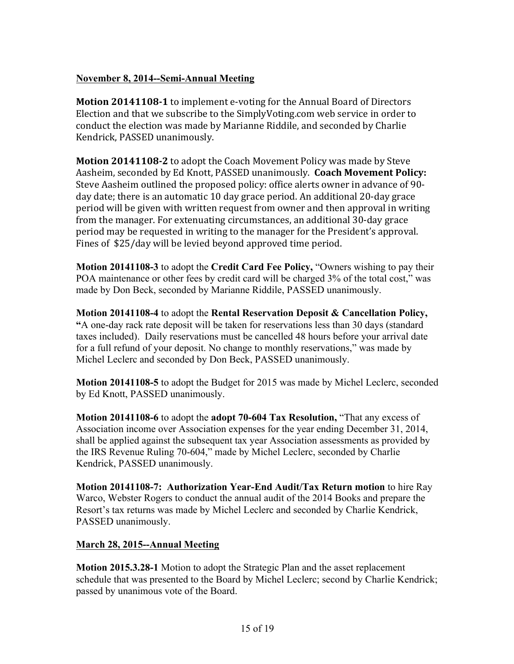## **November 8, 2014--Semi-Annual Meeting**

**Motion 20141108-1** to implement e-voting for the Annual Board of Directors Election and that we subscribe to the SimplyVoting.com web service in order to conduct the election was made by Marianne Riddile, and seconded by Charlie Kendrick, PASSED unanimously.

**Motion 20141108-2** to adopt the Coach Movement Policy was made by Steve Aasheim, seconded by Ed Knott, PASSED unanimously. Coach Movement Policy: Steve Aasheim outlined the proposed policy: office alerts owner in advance of 90day date; there is an automatic 10 day grace period. An additional 20-day grace period will be given with written request from owner and then approval in writing from the manager. For extenuating circumstances, an additional 30-day grace period may be requested in writing to the manager for the President's approval. Fines of \$25/day will be levied beyond approved time period.

**Motion 20141108-3** to adopt the **Credit Card Fee Policy,** "Owners wishing to pay their POA maintenance or other fees by credit card will be charged 3% of the total cost," was made by Don Beck, seconded by Marianne Riddile, PASSED unanimously.

**Motion 20141108-4** to adopt the **Rental Reservation Deposit & Cancellation Policy, "**A one-day rack rate deposit will be taken for reservations less than 30 days (standard taxes included). Daily reservations must be cancelled 48 hours before your arrival date for a full refund of your deposit. No change to monthly reservations," was made by Michel Leclerc and seconded by Don Beck, PASSED unanimously.

**Motion 20141108-5** to adopt the Budget for 2015 was made by Michel Leclerc, seconded by Ed Knott, PASSED unanimously.

**Motion 20141108-6** to adopt the **adopt 70-604 Tax Resolution,** "That any excess of Association income over Association expenses for the year ending December 31, 2014, shall be applied against the subsequent tax year Association assessments as provided by the IRS Revenue Ruling 70-604," made by Michel Leclerc, seconded by Charlie Kendrick, PASSED unanimously.

**Motion 20141108-7: Authorization Year-End Audit/Tax Return motion** to hire Ray Warco, Webster Rogers to conduct the annual audit of the 2014 Books and prepare the Resort's tax returns was made by Michel Leclerc and seconded by Charlie Kendrick, PASSED unanimously.

## **March 28, 2015--Annual Meeting**

**Motion 2015.3.28-1** Motion to adopt the Strategic Plan and the asset replacement schedule that was presented to the Board by Michel Leclerc; second by Charlie Kendrick; passed by unanimous vote of the Board.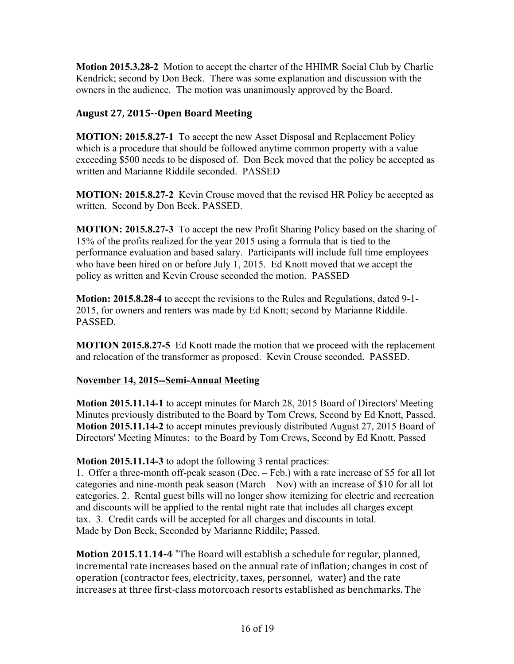**Motion 2015.3.28-2** Motion to accept the charter of the HHIMR Social Club by Charlie Kendrick; second by Don Beck. There was some explanation and discussion with the owners in the audience. The motion was unanimously approved by the Board.

## **August 27, 2015--Open Board Meeting**

**MOTION: 2015.8.27-1** To accept the new Asset Disposal and Replacement Policy which is a procedure that should be followed anytime common property with a value exceeding \$500 needs to be disposed of. Don Beck moved that the policy be accepted as written and Marianne Riddile seconded. PASSED

**MOTION: 2015.8.27-2** Kevin Crouse moved that the revised HR Policy be accepted as written. Second by Don Beck. PASSED.

**MOTION: 2015.8.27-3** To accept the new Profit Sharing Policy based on the sharing of 15% of the profits realized for the year 2015 using a formula that is tied to the performance evaluation and based salary. Participants will include full time employees who have been hired on or before July 1, 2015. Ed Knott moved that we accept the policy as written and Kevin Crouse seconded the motion. PASSED

**Motion: 2015.8.28-4** to accept the revisions to the Rules and Regulations, dated 9-1- 2015, for owners and renters was made by Ed Knott; second by Marianne Riddile. PASSED.

**MOTION 2015.8.27-5** Ed Knott made the motion that we proceed with the replacement and relocation of the transformer as proposed. Kevin Crouse seconded. PASSED.

## **November 14, 2015--Semi-Annual Meeting**

**Motion 2015.11.14-1** to accept minutes for March 28, 2015 Board of Directors' Meeting Minutes previously distributed to the Board by Tom Crews, Second by Ed Knott, Passed. **Motion 2015.11.14-2** to accept minutes previously distributed August 27, 2015 Board of Directors' Meeting Minutes: to the Board by Tom Crews, Second by Ed Knott, Passed

**Motion 2015.11.14-3** to adopt the following 3 rental practices:

1. Offer a three-month off-peak season (Dec. – Feb.) with a rate increase of \$5 for all lot categories and nine-month peak season (March – Nov) with an increase of \$10 for all lot categories. 2. Rental guest bills will no longer show itemizing for electric and recreation and discounts will be applied to the rental night rate that includes all charges except tax. 3. Credit cards will be accepted for all charges and discounts in total. Made by Don Beck, Seconded by Marianne Riddile; Passed.

**Motion 2015.11.14-4** "The Board will establish a schedule for regular, planned, incremental rate increases based on the annual rate of inflation; changes in cost of operation (contractor fees, electricity, taxes, personnel, water) and the rate increases at three first-class motorcoach resorts established as benchmarks. The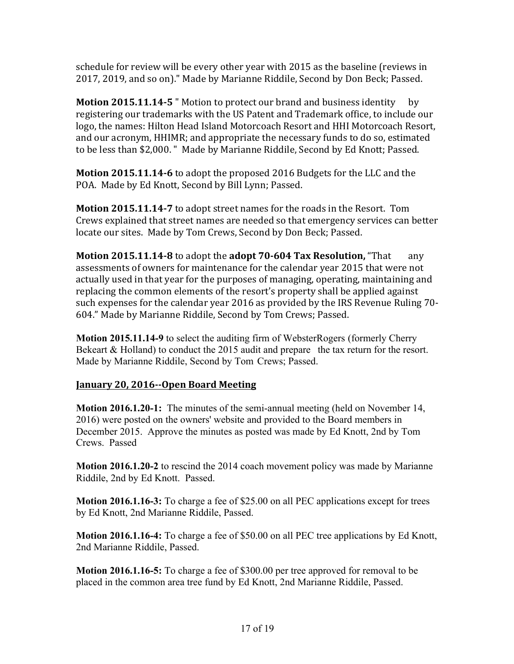schedule for review will be every other year with 2015 as the baseline (reviews in 2017, 2019, and so on)." Made by Marianne Riddile, Second by Don Beck; Passed.

**Motion 2015.11.14-5** " Motion to protect our brand and business identity by registering our trademarks with the US Patent and Trademark office, to include our logo, the names: Hilton Head Island Motorcoach Resort and HHI Motorcoach Resort, and our acronym, HHIMR; and appropriate the necessary funds to do so, estimated to be less than \$2,000. " Made by Marianne Riddile, Second by Ed Knott; Passed.

**Motion 2015.11.14-6** to adopt the proposed 2016 Budgets for the LLC and the POA. Made by Ed Knott, Second by Bill Lynn; Passed.

**Motion 2015.11.14-7** to adopt street names for the roads in the Resort. Tom Crews explained that street names are needed so that emergency services can better locate our sites. Made by Tom Crews, Second by Don Beck; Passed.

**Motion 2015.11.14-8** to adopt the **adopt 70-604 Tax Resolution,** "That any assessments of owners for maintenance for the calendar year 2015 that were not actually used in that year for the purposes of managing, operating, maintaining and replacing the common elements of the resort's property shall be applied against such expenses for the calendar year 2016 as provided by the IRS Revenue Ruling 70-604." Made by Marianne Riddile, Second by Tom Crews; Passed.

**Motion 2015.11.14-9** to select the auditing firm of WebsterRogers (formerly Cherry Bekeart & Holland) to conduct the 2015 audit and prepare the tax return for the resort. Made by Marianne Riddile, Second by Tom Crews; Passed.

## **January 20, 2016--Open Board Meeting**

**Motion 2016.1.20-1:** The minutes of the semi-annual meeting (held on November 14, 2016) were posted on the owners' website and provided to the Board members in December 2015. Approve the minutes as posted was made by Ed Knott, 2nd by Tom Crews. Passed

**Motion 2016.1.20-2** to rescind the 2014 coach movement policy was made by Marianne Riddile, 2nd by Ed Knott. Passed.

**Motion 2016.1.16-3:** To charge a fee of \$25.00 on all PEC applications except for trees by Ed Knott, 2nd Marianne Riddile, Passed.

**Motion 2016.1.16-4:** To charge a fee of \$50.00 on all PEC tree applications by Ed Knott, 2nd Marianne Riddile, Passed.

**Motion 2016.1.16-5:** To charge a fee of \$300.00 per tree approved for removal to be placed in the common area tree fund by Ed Knott, 2nd Marianne Riddile, Passed.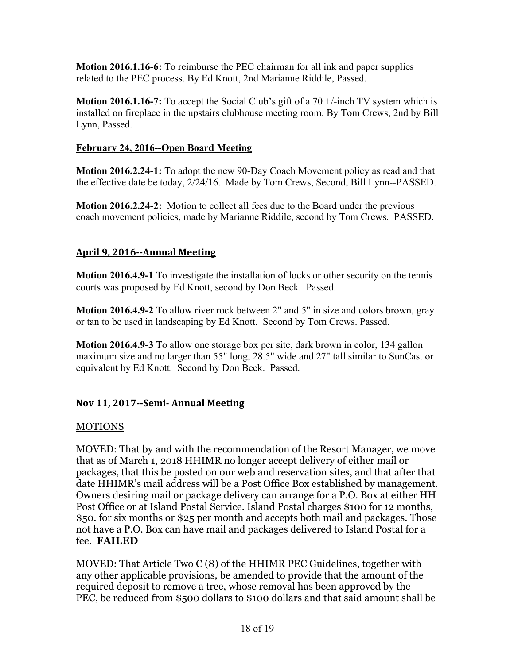**Motion 2016.1.16-6:** To reimburse the PEC chairman for all ink and paper supplies related to the PEC process. By Ed Knott, 2nd Marianne Riddile, Passed.

**Motion 2016.1.16-7:** To accept the Social Club's gift of a 70 +/-inch TV system which is installed on fireplace in the upstairs clubhouse meeting room. By Tom Crews, 2nd by Bill Lynn, Passed.

## **February 24, 2016--Open Board Meeting**

**Motion 2016.2.24-1:** To adopt the new 90-Day Coach Movement policy as read and that the effective date be today, 2/24/16. Made by Tom Crews, Second, Bill Lynn--PASSED.

**Motion 2016.2.24-2:** Motion to collect all fees due to the Board under the previous coach movement policies, made by Marianne Riddile, second by Tom Crews. PASSED.

## **April 9, 2016--Annual Meeting**

**Motion 2016.4.9-1** To investigate the installation of locks or other security on the tennis courts was proposed by Ed Knott, second by Don Beck. Passed.

**Motion 2016.4.9-2** To allow river rock between 2" and 5" in size and colors brown, gray or tan to be used in landscaping by Ed Knott. Second by Tom Crews. Passed.

**Motion 2016.4.9-3** To allow one storage box per site, dark brown in color, 134 gallon maximum size and no larger than 55" long, 28.5" wide and 27" tall similar to SunCast or equivalent by Ed Knott. Second by Don Beck. Passed.

## **Nov 11, 2017--Semi- Annual Meeting**

## MOTIONS

MOVED: That by and with the recommendation of the Resort Manager, we move that as of March 1, 2018 HHIMR no longer accept delivery of either mail or packages, that this be posted on our web and reservation sites, and that after that date HHIMR's mail address will be a Post Office Box established by management. Owners desiring mail or package delivery can arrange for a P.O. Box at either HH Post Office or at Island Postal Service. Island Postal charges \$100 for 12 months, \$50. for six months or \$25 per month and accepts both mail and packages. Those not have a P.O. Box can have mail and packages delivered to Island Postal for a fee. **FAILED**

MOVED: That Article Two C (8) of the HHIMR PEC Guidelines, together with any other applicable provisions, be amended to provide that the amount of the required deposit to remove a tree, whose removal has been approved by the PEC, be reduced from \$500 dollars to \$100 dollars and that said amount shall be